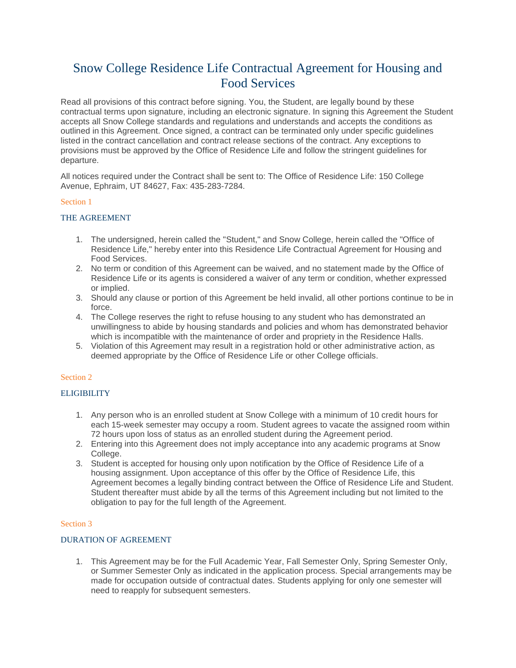# Snow College Residence Life Contractual Agreement for Housing and Food Services

Read all provisions of this contract before signing. You, the Student, are legally bound by these contractual terms upon signature, including an electronic signature. In signing this Agreement the Student accepts all Snow College standards and regulations and understands and accepts the conditions as outlined in this Agreement. Once signed, a contract can be terminated only under specific guidelines listed in the contract cancellation and contract release sections of the contract. Any exceptions to provisions must be approved by the Office of Residence Life and follow the stringent guidelines for departure.

All notices required under the Contract shall be sent to: The Office of Residence Life: 150 College Avenue, Ephraim, UT 84627, Fax: 435-283-7284.

# Section 1

# THE AGREEMENT

- 1. The undersigned, herein called the "Student," and Snow College, herein called the "Office of Residence Life," hereby enter into this Residence Life Contractual Agreement for Housing and Food Services.
- 2. No term or condition of this Agreement can be waived, and no statement made by the Office of Residence Life or its agents is considered a waiver of any term or condition, whether expressed or implied.
- 3. Should any clause or portion of this Agreement be held invalid, all other portions continue to be in force.
- 4. The College reserves the right to refuse housing to any student who has demonstrated an unwillingness to abide by housing standards and policies and whom has demonstrated behavior which is incompatible with the maintenance of order and propriety in the Residence Halls.
- 5. Violation of this Agreement may result in a registration hold or other administrative action, as deemed appropriate by the Office of Residence Life or other College officials.

## Section 2

## **ELIGIBILITY**

- 1. Any person who is an enrolled student at Snow College with a minimum of 10 credit hours for each 15-week semester may occupy a room. Student agrees to vacate the assigned room within 72 hours upon loss of status as an enrolled student during the Agreement period.
- 2. Entering into this Agreement does not imply acceptance into any academic programs at Snow College.
- 3. Student is accepted for housing only upon notification by the Office of Residence Life of a housing assignment. Upon acceptance of this offer by the Office of Residence Life, this Agreement becomes a legally binding contract between the Office of Residence Life and Student. Student thereafter must abide by all the terms of this Agreement including but not limited to the obligation to pay for the full length of the Agreement.

## Section 3

## DURATION OF AGREEMENT

1. This Agreement may be for the Full Academic Year, Fall Semester Only, Spring Semester Only, or Summer Semester Only as indicated in the application process. Special arrangements may be made for occupation outside of contractual dates. Students applying for only one semester will need to reapply for subsequent semesters.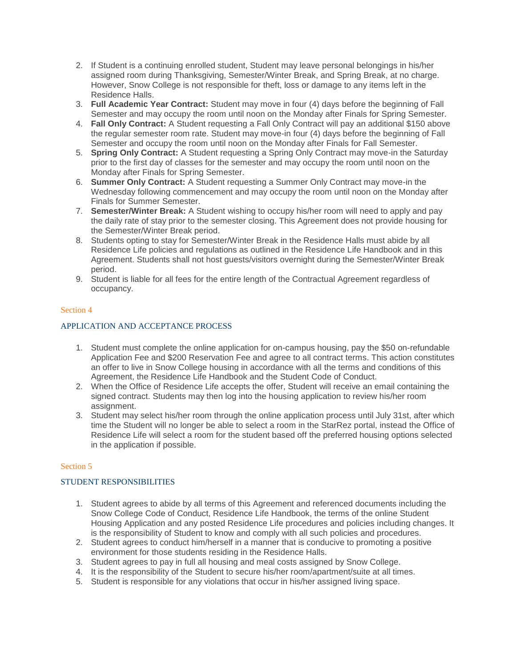- 2. If Student is a continuing enrolled student, Student may leave personal belongings in his/her assigned room during Thanksgiving, Semester/Winter Break, and Spring Break, at no charge. However, Snow College is not responsible for theft, loss or damage to any items left in the Residence Halls.
- 3. **Full Academic Year Contract:** Student may move in four (4) days before the beginning of Fall Semester and may occupy the room until noon on the Monday after Finals for Spring Semester.
- 4. **Fall Only Contract:** A Student requesting a Fall Only Contract will pay an additional \$150 above the regular semester room rate. Student may move-in four (4) days before the beginning of Fall Semester and occupy the room until noon on the Monday after Finals for Fall Semester.
- 5. **Spring Only Contract:** A Student requesting a Spring Only Contract may move-in the Saturday prior to the first day of classes for the semester and may occupy the room until noon on the Monday after Finals for Spring Semester.
- 6. **Summer Only Contract:** A Student requesting a Summer Only Contract may move-in the Wednesday following commencement and may occupy the room until noon on the Monday after Finals for Summer Semester.
- 7. **Semester/Winter Break:** A Student wishing to occupy his/her room will need to apply and pay the daily rate of stay prior to the semester closing. This Agreement does not provide housing for the Semester/Winter Break period.
- 8. Students opting to stay for Semester/Winter Break in the Residence Halls must abide by all Residence Life policies and regulations as outlined in the Residence Life Handbook and in this Agreement. Students shall not host guests/visitors overnight during the Semester/Winter Break period.
- 9. Student is liable for all fees for the entire length of the Contractual Agreement regardless of occupancy.

# Section 4

# APPLICATION AND ACCEPTANCE PROCESS

- 1. Student must complete the online application for on-campus housing, pay the \$50 on-refundable Application Fee and \$200 Reservation Fee and agree to all contract terms. This action constitutes an offer to live in Snow College housing in accordance with all the terms and conditions of this Agreement, the Residence Life Handbook and the Student Code of Conduct.
- 2. When the Office of Residence Life accepts the offer, Student will receive an email containing the signed contract. Students may then log into the housing application to review his/her room assignment.
- 3. Student may select his/her room through the online application process until July 31st, after which time the Student will no longer be able to select a room in the StarRez portal, instead the Office of Residence Life will select a room for the student based off the preferred housing options selected in the application if possible.

## Section 5

# STUDENT RESPONSIBILITIES

- 1. Student agrees to abide by all terms of this Agreement and referenced documents including the Snow College Code of Conduct, Residence Life Handbook, the terms of the online Student Housing Application and any posted Residence Life procedures and policies including changes. It is the responsibility of Student to know and comply with all such policies and procedures.
- 2. Student agrees to conduct him/herself in a manner that is conducive to promoting a positive environment for those students residing in the Residence Halls.
- 3. Student agrees to pay in full all housing and meal costs assigned by Snow College.
- 4. It is the responsibility of the Student to secure his/her room/apartment/suite at all times.
- 5. Student is responsible for any violations that occur in his/her assigned living space.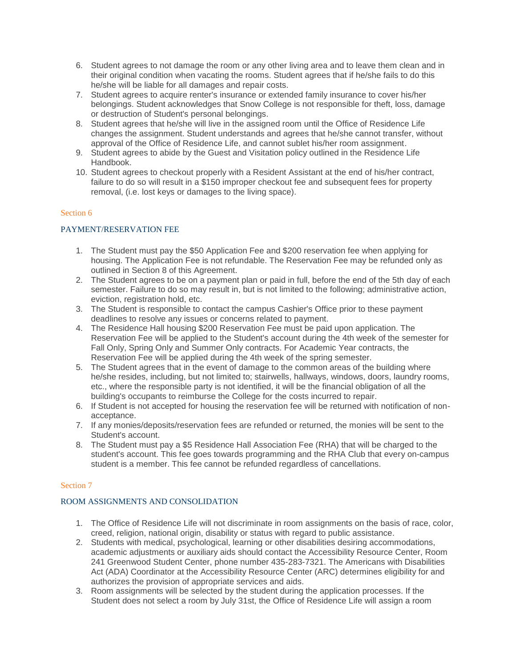- 6. Student agrees to not damage the room or any other living area and to leave them clean and in their original condition when vacating the rooms. Student agrees that if he/she fails to do this he/she will be liable for all damages and repair costs.
- 7. Student agrees to acquire renter's insurance or extended family insurance to cover his/her belongings. Student acknowledges that Snow College is not responsible for theft, loss, damage or destruction of Student's personal belongings.
- 8. Student agrees that he/she will live in the assigned room until the Office of Residence Life changes the assignment. Student understands and agrees that he/she cannot transfer, without approval of the Office of Residence Life, and cannot sublet his/her room assignment.
- 9. Student agrees to abide by the Guest and Visitation policy outlined in the Residence Life Handbook.
- 10. Student agrees to checkout properly with a Resident Assistant at the end of his/her contract, failure to do so will result in a \$150 improper checkout fee and subsequent fees for property removal, (i.e. lost keys or damages to the living space).

# Section 6

# PAYMENT/RESERVATION FEE

- 1. The Student must pay the \$50 Application Fee and \$200 reservation fee when applying for housing. The Application Fee is not refundable. The Reservation Fee may be refunded only as outlined in Section 8 of this Agreement.
- 2. The Student agrees to be on a payment plan or paid in full, before the end of the 5th day of each semester. Failure to do so may result in, but is not limited to the following; administrative action, eviction, registration hold, etc.
- 3. The Student is responsible to contact the campus Cashier's Office prior to these payment deadlines to resolve any issues or concerns related to payment.
- 4. The Residence Hall housing \$200 Reservation Fee must be paid upon application. The Reservation Fee will be applied to the Student's account during the 4th week of the semester for Fall Only, Spring Only and Summer Only contracts. For Academic Year contracts, the Reservation Fee will be applied during the 4th week of the spring semester.
- 5. The Student agrees that in the event of damage to the common areas of the building where he/she resides, including, but not limited to; stairwells, hallways, windows, doors, laundry rooms, etc., where the responsible party is not identified, it will be the financial obligation of all the building's occupants to reimburse the College for the costs incurred to repair.
- 6. If Student is not accepted for housing the reservation fee will be returned with notification of nonacceptance.
- 7. If any monies/deposits/reservation fees are refunded or returned, the monies will be sent to the Student's account.
- 8. The Student must pay a \$5 Residence Hall Association Fee (RHA) that will be charged to the student's account. This fee goes towards programming and the RHA Club that every on-campus student is a member. This fee cannot be refunded regardless of cancellations.

## Section 7

# ROOM ASSIGNMENTS AND CONSOLIDATION

- 1. The Office of Residence Life will not discriminate in room assignments on the basis of race, color, creed, religion, national origin, disability or status with regard to public assistance.
- 2. Students with medical, psychological, learning or other disabilities desiring accommodations, academic adjustments or auxiliary aids should contact the Accessibility Resource Center, Room 241 Greenwood Student Center, phone number 435-283-7321. The Americans with Disabilities Act (ADA) Coordinator at the Accessibility Resource Center (ARC) determines eligibility for and authorizes the provision of appropriate services and aids.
- 3. Room assignments will be selected by the student during the application processes. If the Student does not select a room by July 31st, the Office of Residence Life will assign a room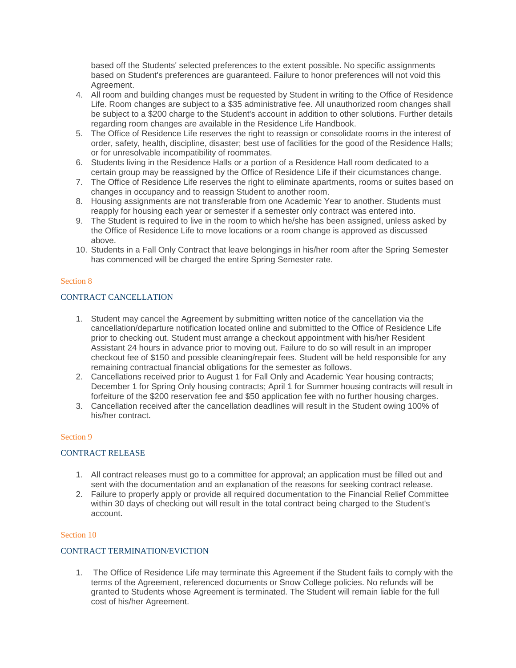based off the Students' selected preferences to the extent possible. No specific assignments based on Student's preferences are guaranteed. Failure to honor preferences will not void this Agreement.

- 4. All room and building changes must be requested by Student in writing to the Office of Residence Life. Room changes are subject to a \$35 administrative fee. All unauthorized room changes shall be subject to a \$200 charge to the Student's account in addition to other solutions. Further details regarding room changes are available in the Residence Life Handbook.
- 5. The Office of Residence Life reserves the right to reassign or consolidate rooms in the interest of order, safety, health, discipline, disaster; best use of facilities for the good of the Residence Halls; or for unresolvable incompatibility of roommates.
- 6. Students living in the Residence Halls or a portion of a Residence Hall room dedicated to a certain group may be reassigned by the Office of Residence Life if their cicumstances change.
- 7. The Office of Residence Life reserves the right to eliminate apartments, rooms or suites based on changes in occupancy and to reassign Student to another room.
- 8. Housing assignments are not transferable from one Academic Year to another. Students must reapply for housing each year or semester if a semester only contract was entered into.
- 9. The Student is required to live in the room to which he/she has been assigned, unless asked by the Office of Residence Life to move locations or a room change is approved as discussed above.
- 10. Students in a Fall Only Contract that leave belongings in his/her room after the Spring Semester has commenced will be charged the entire Spring Semester rate.

## Section 8

# CONTRACT CANCELLATION

- 1. Student may cancel the Agreement by submitting written notice of the cancellation via the cancellation/departure notification located online and submitted to the Office of Residence Life prior to checking out. Student must arrange a checkout appointment with his/her Resident Assistant 24 hours in advance prior to moving out. Failure to do so will result in an improper checkout fee of \$150 and possible cleaning/repair fees. Student will be held responsible for any remaining contractual financial obligations for the semester as follows.
- 2. Cancellations received prior to August 1 for Fall Only and Academic Year housing contracts; December 1 for Spring Only housing contracts; April 1 for Summer housing contracts will result in forfeiture of the \$200 reservation fee and \$50 application fee with no further housing charges.
- 3. Cancellation received after the cancellation deadlines will result in the Student owing 100% of his/her contract.

#### Section 9

#### CONTRACT RELEASE

- 1. All contract releases must go to a committee for approval; an application must be filled out and sent with the documentation and an explanation of the reasons for seeking contract release.
- 2. Failure to properly apply or provide all required documentation to the Financial Relief Committee within 30 days of checking out will result in the total contract being charged to the Student's account.

#### Section 10

#### CONTRACT TERMINATION/EVICTION

1. The Office of Residence Life may terminate this Agreement if the Student fails to comply with the terms of the Agreement, referenced documents or Snow College policies. No refunds will be granted to Students whose Agreement is terminated. The Student will remain liable for the full cost of his/her Agreement.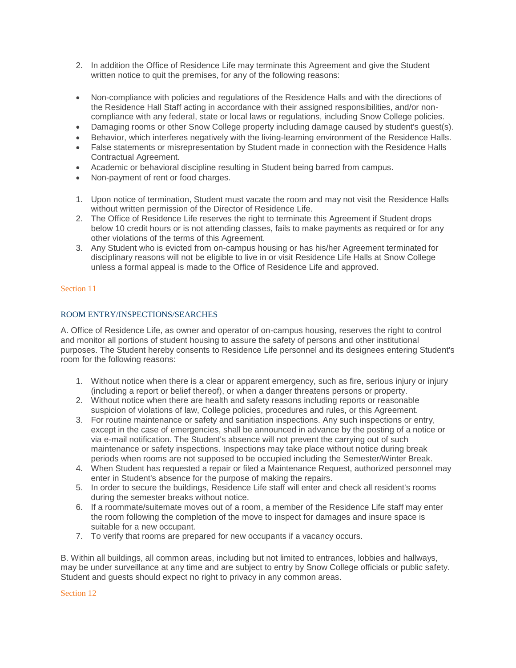- 2. In addition the Office of Residence Life may terminate this Agreement and give the Student written notice to quit the premises, for any of the following reasons:
- Non-compliance with policies and regulations of the Residence Halls and with the directions of the Residence Hall Staff acting in accordance with their assigned responsibilities, and/or noncompliance with any federal, state or local laws or regulations, including Snow College policies.
- Damaging rooms or other Snow College property including damage caused by student's guest(s).
- Behavior, which interferes negatively with the living-learning environment of the Residence Halls.
- False statements or misrepresentation by Student made in connection with the Residence Halls Contractual Agreement.
- Academic or behavioral discipline resulting in Student being barred from campus.
- Non-payment of rent or food charges.
- 1. Upon notice of termination, Student must vacate the room and may not visit the Residence Halls without written permission of the Director of Residence Life.
- 2. The Office of Residence Life reserves the right to terminate this Agreement if Student drops below 10 credit hours or is not attending classes, fails to make payments as required or for any other violations of the terms of this Agreement.
- 3. Any Student who is evicted from on-campus housing or has his/her Agreement terminated for disciplinary reasons will not be eligible to live in or visit Residence Life Halls at Snow College unless a formal appeal is made to the Office of Residence Life and approved.

## Section 11

## ROOM ENTRY/INSPECTIONS/SEARCHES

A. Office of Residence Life, as owner and operator of on-campus housing, reserves the right to control and monitor all portions of student housing to assure the safety of persons and other institutional purposes. The Student hereby consents to Residence Life personnel and its designees entering Student's room for the following reasons:

- 1. Without notice when there is a clear or apparent emergency, such as fire, serious injury or injury (including a report or belief thereof), or when a danger threatens persons or property.
- 2. Without notice when there are health and safety reasons including reports or reasonable suspicion of violations of law, College policies, procedures and rules, or this Agreement.
- 3. For routine maintenance or safety and sanitiation inspections. Any such inspections or entry, except in the case of emergencies, shall be announced in advance by the posting of a notice or via e-mail notification. The Student's absence will not prevent the carrying out of such maintenance or safety inspections. Inspections may take place without notice during break periods when rooms are not supposed to be occupied including the Semester/Winter Break.
- 4. When Student has requested a repair or filed a Maintenance Request, authorized personnel may enter in Student's absence for the purpose of making the repairs.
- 5. In order to secure the buildings, Residence Life staff will enter and check all resident's rooms during the semester breaks without notice.
- 6. If a roommate/suitemate moves out of a room, a member of the Residence Life staff may enter the room following the completion of the move to inspect for damages and insure space is suitable for a new occupant.
- 7. To verify that rooms are prepared for new occupants if a vacancy occurs.

B. Within all buildings, all common areas, including but not limited to entrances, lobbies and hallways, may be under surveillance at any time and are subject to entry by Snow College officials or public safety. Student and guests should expect no right to privacy in any common areas.

Section 12